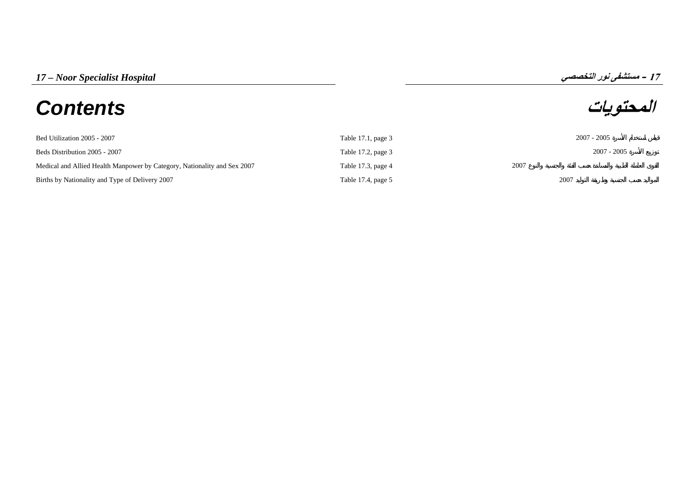# **المحتويات** *Contents*

**17**

| Bed Utilization 2005 - 2007                                              | Table 17.1, page 3 |      | 2007 - 2005   |
|--------------------------------------------------------------------------|--------------------|------|---------------|
| Beds Distribution 2005 - 2007                                            | Table 17.2, page 3 |      | $2007 - 2005$ |
| Medical and Allied Health Manpower by Category, Nationality and Sex 2007 | Table 17.3, page 4 | 2007 |               |
| Births by Nationality and Type of Delivery 2007                          | Table 17.4, page 5 | 2007 |               |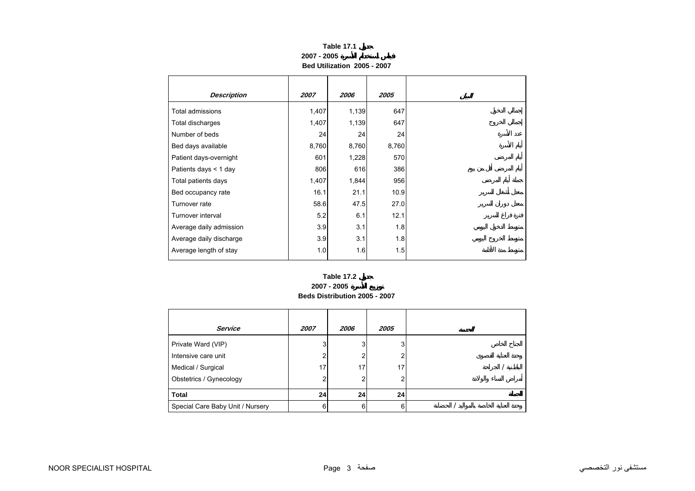## **Table 17.1 2007 - 2005Bed Utilization 2005 - 2007**

<span id="page-1-0"></span>

| <b>Description</b>      | 2007  | 2006  | 2005  |
|-------------------------|-------|-------|-------|
| Total admissions        | 1,407 | 1,139 | 647   |
| Total discharges        | 1,407 | 1,139 | 647   |
| Number of beds          | 24    | 24    | 24    |
| Bed days available      | 8,760 | 8,760 | 8,760 |
| Patient days-overnight  | 601   | 1,228 | 570   |
| Patients days < 1 day   | 806   | 616   | 386   |
| Total patients days     | 1,407 | 1,844 | 956   |
| Bed occupancy rate      | 16.1  | 21.1  | 10.9  |
| Turnover rate           | 58.6  | 47.5  | 27.0  |
| Turnover interval       | 5.2   | 6.1   | 12.1  |
| Average daily admission | 3.9   | 3.1   | 1.8   |
| Average daily discharge | 3.9   | 3.1   | 1.8   |
| Average length of stay  | 1.0   | 1.6   | 1.5   |

### **2007 - 2005 Beds Distribution 2005 - 2007 Table 17.2**

| <b>Service</b>                   | 2007            | <i><b>2006</b></i> | 2005 |
|----------------------------------|-----------------|--------------------|------|
| Private Ward (VIP)               | 3               | 3 <sub>l</sub>     | 3    |
| Intensive care unit              | 2               | 2                  | 2    |
| Medical / Surgical               | 17              | 17                 | 17   |
| Obstetrics / Gynecology          | 2               | 2                  | 2    |
| <b>Total</b>                     | 24 <sup>1</sup> | 24 <sup>1</sup>    | 24   |
| Special Care Baby Unit / Nursery | 6               | 6                  | 6    |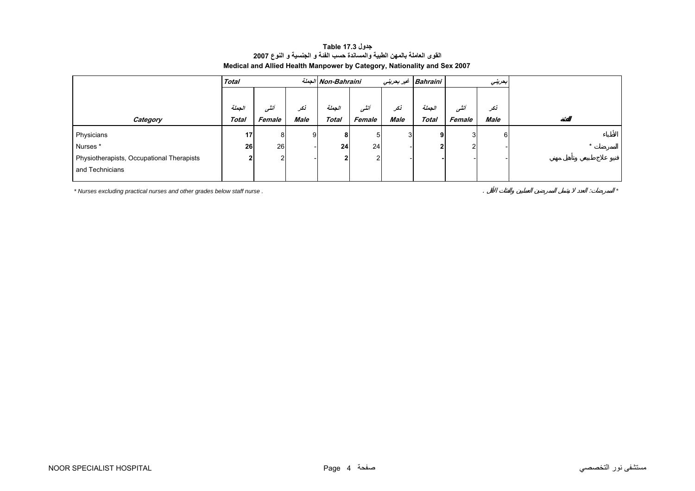# **جدول 17.3 Table القوى العاملة بالمهن الطبية والمساندة حسب الفئة <sup>و</sup> الجنسية <sup>و</sup> النوع <sup>2007</sup> Medical and Allied Health Manpower by Category, Nationality and Sex 2007**

<span id="page-2-0"></span>

| Total        |        |      |              |        |                                              |              |        |                     |                          |
|--------------|--------|------|--------------|--------|----------------------------------------------|--------------|--------|---------------------|--------------------------|
|              |        |      |              |        |                                              |              |        |                     |                          |
| الجملة       | أنشى   | نكر  | الجملة       | أنشى   | نكر                                          | الجملة       | أننسى  | نكر                 |                          |
| <b>Total</b> | Female | Male | <b>Total</b> | Female | Male                                         | <b>Total</b> | Female | Male                |                          |
| 17           | 8      | 9    |              | 5      |                                              | 9            | 3      | 6                   |                          |
| 26           |        |      |              |        |                                              |              |        |                     |                          |
| ŋ            | 2      |      |              | 2      |                                              |              |        |                     |                          |
|              |        |      |              |        |                                              |              |        |                     |                          |
|              |        |      | 26           | 8      | الجملة Non-Bahraini<br>24<br>24 <sub>1</sub> |              |        | Bahraini غير بحريني | بعريني<br>$\overline{2}$ |

*\* Nurses excluding practical nurses and other grades below staff nurse .* . : *\**